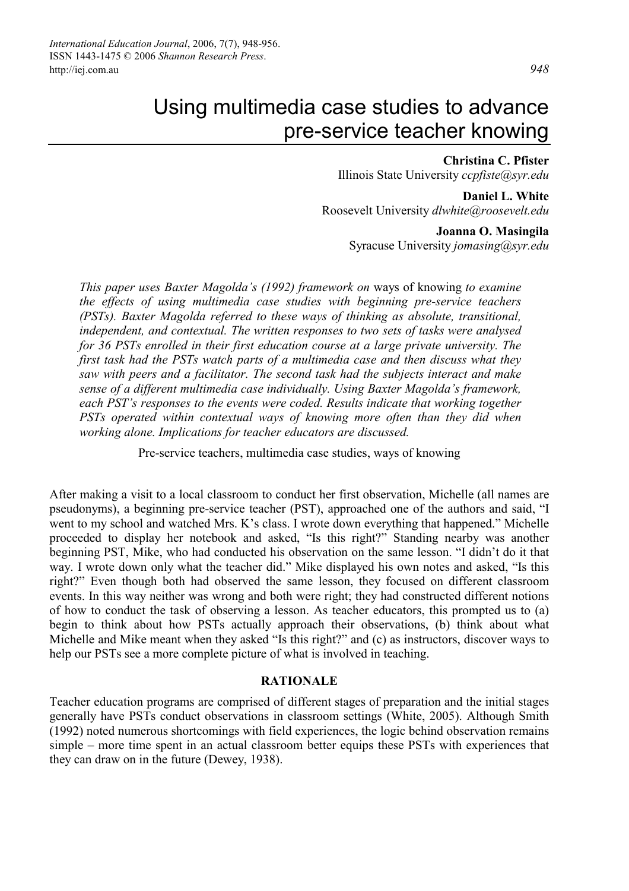### **Christina C. Pfister**

Illinois State University *ccpfiste@syr.edu* 

**Daniel L. White**  Roosevelt University *dlwhite@roosevelt.edu* 

#### **Joanna O. Masingila**

Syracuse University *jomasing@syr.edu* 

*This paper uses Baxter Magolda's (1992) framework on* ways of knowing *to examine the effects of using multimedia case studies with beginning pre-service teachers (PSTs). Baxter Magolda referred to these ways of thinking as absolute, transitional, independent, and contextual. The written responses to two sets of tasks were analysed for 36 PSTs enrolled in their first education course at a large private university. The first task had the PSTs watch parts of a multimedia case and then discuss what they saw with peers and a facilitator. The second task had the subjects interact and make sense of a different multimedia case individually. Using Baxter Magolda's framework, each PST's responses to the events were coded. Results indicate that working together PSTs operated within contextual ways of knowing more often than they did when working alone. Implications for teacher educators are discussed.* 

Pre-service teachers, multimedia case studies, ways of knowing

After making a visit to a local classroom to conduct her first observation, Michelle (all names are pseudonyms), a beginning pre-service teacher (PST), approached one of the authors and said, "I went to my school and watched Mrs. K's class. I wrote down everything that happened." Michelle proceeded to display her notebook and asked, "Is this right?" Standing nearby was another beginning PST, Mike, who had conducted his observation on the same lesson. "I didn't do it that way. I wrote down only what the teacher did." Mike displayed his own notes and asked, "Is this right?" Even though both had observed the same lesson, they focused on different classroom events. In this way neither was wrong and both were right; they had constructed different notions of how to conduct the task of observing a lesson. As teacher educators, this prompted us to (a) begin to think about how PSTs actually approach their observations, (b) think about what Michelle and Mike meant when they asked "Is this right?" and (c) as instructors, discover ways to help our PSTs see a more complete picture of what is involved in teaching.

#### **RATIONALE**

Teacher education programs are comprised of different stages of preparation and the initial stages generally have PSTs conduct observations in classroom settings (White, 2005). Although Smith (1992) noted numerous shortcomings with field experiences, the logic behind observation remains simple – more time spent in an actual classroom better equips these PSTs with experiences that they can draw on in the future (Dewey, 1938).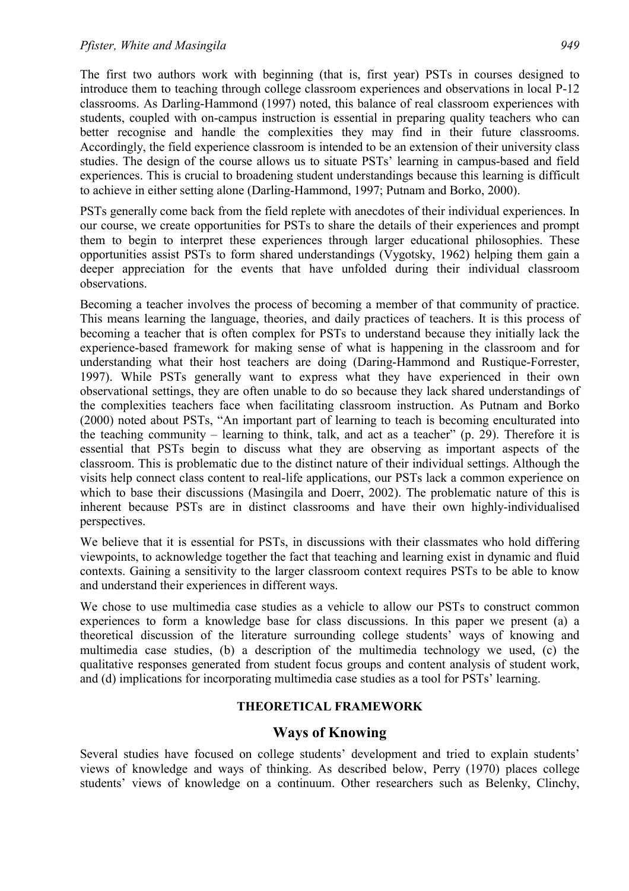The first two authors work with beginning (that is, first year) PSTs in courses designed to introduce them to teaching through college classroom experiences and observations in local P-12 classrooms. As Darling-Hammond (1997) noted, this balance of real classroom experiences with students, coupled with on-campus instruction is essential in preparing quality teachers who can better recognise and handle the complexities they may find in their future classrooms. Accordingly, the field experience classroom is intended to be an extension of their university class studies. The design of the course allows us to situate PSTs' learning in campus-based and field experiences. This is crucial to broadening student understandings because this learning is difficult to achieve in either setting alone (Darling-Hammond, 1997; Putnam and Borko, 2000).

PSTs generally come back from the field replete with anecdotes of their individual experiences. In our course, we create opportunities for PSTs to share the details of their experiences and prompt them to begin to interpret these experiences through larger educational philosophies. These opportunities assist PSTs to form shared understandings (Vygotsky, 1962) helping them gain a deeper appreciation for the events that have unfolded during their individual classroom observations.

Becoming a teacher involves the process of becoming a member of that community of practice. This means learning the language, theories, and daily practices of teachers. It is this process of becoming a teacher that is often complex for PSTs to understand because they initially lack the experience-based framework for making sense of what is happening in the classroom and for understanding what their host teachers are doing (Daring-Hammond and Rustique-Forrester, 1997). While PSTs generally want to express what they have experienced in their own observational settings, they are often unable to do so because they lack shared understandings of the complexities teachers face when facilitating classroom instruction. As Putnam and Borko (2000) noted about PSTs, "An important part of learning to teach is becoming enculturated into the teaching community – learning to think, talk, and act as a teacher" (p. 29). Therefore it is essential that PSTs begin to discuss what they are observing as important aspects of the classroom. This is problematic due to the distinct nature of their individual settings. Although the visits help connect class content to real-life applications, our PSTs lack a common experience on which to base their discussions (Masingila and Doerr, 2002). The problematic nature of this is inherent because PSTs are in distinct classrooms and have their own highly-individualised perspectives.

We believe that it is essential for PSTs, in discussions with their classmates who hold differing viewpoints, to acknowledge together the fact that teaching and learning exist in dynamic and fluid contexts. Gaining a sensitivity to the larger classroom context requires PSTs to be able to know and understand their experiences in different ways.

We chose to use multimedia case studies as a vehicle to allow our PSTs to construct common experiences to form a knowledge base for class discussions. In this paper we present (a) a theoretical discussion of the literature surrounding college students' ways of knowing and multimedia case studies, (b) a description of the multimedia technology we used, (c) the qualitative responses generated from student focus groups and content analysis of student work, and (d) implications for incorporating multimedia case studies as a tool for PSTs' learning.

## **THEORETICAL FRAMEWORK**

## **Ways of Knowing**

Several studies have focused on college students' development and tried to explain students' views of knowledge and ways of thinking. As described below, Perry (1970) places college students' views of knowledge on a continuum. Other researchers such as Belenky, Clinchy,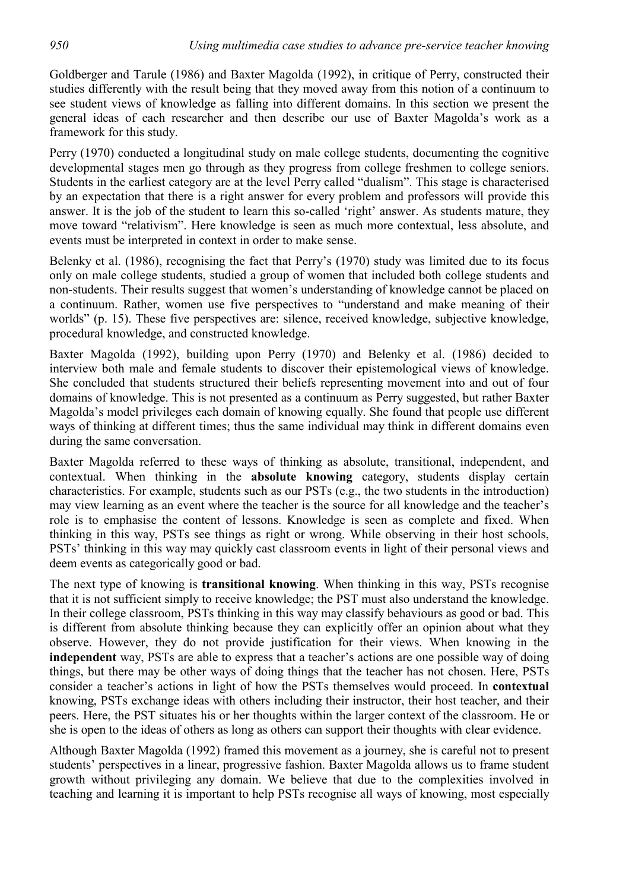Goldberger and Tarule (1986) and Baxter Magolda (1992), in critique of Perry, constructed their studies differently with the result being that they moved away from this notion of a continuum to see student views of knowledge as falling into different domains. In this section we present the general ideas of each researcher and then describe our use of Baxter Magolda's work as a framework for this study.

Perry (1970) conducted a longitudinal study on male college students, documenting the cognitive developmental stages men go through as they progress from college freshmen to college seniors. Students in the earliest category are at the level Perry called "dualism". This stage is characterised by an expectation that there is a right answer for every problem and professors will provide this answer. It is the job of the student to learn this so-called 'right' answer. As students mature, they move toward "relativism". Here knowledge is seen as much more contextual, less absolute, and events must be interpreted in context in order to make sense.

Belenky et al. (1986), recognising the fact that Perry's (1970) study was limited due to its focus only on male college students, studied a group of women that included both college students and non-students. Their results suggest that women's understanding of knowledge cannot be placed on a continuum. Rather, women use five perspectives to "understand and make meaning of their worlds" (p. 15). These five perspectives are: silence, received knowledge, subjective knowledge, procedural knowledge, and constructed knowledge.

Baxter Magolda (1992), building upon Perry (1970) and Belenky et al. (1986) decided to interview both male and female students to discover their epistemological views of knowledge. She concluded that students structured their beliefs representing movement into and out of four domains of knowledge. This is not presented as a continuum as Perry suggested, but rather Baxter Magolda's model privileges each domain of knowing equally. She found that people use different ways of thinking at different times; thus the same individual may think in different domains even during the same conversation.

Baxter Magolda referred to these ways of thinking as absolute, transitional, independent, and contextual. When thinking in the **absolute knowing** category, students display certain characteristics. For example, students such as our PSTs (e.g., the two students in the introduction) may view learning as an event where the teacher is the source for all knowledge and the teacher's role is to emphasise the content of lessons. Knowledge is seen as complete and fixed. When thinking in this way, PSTs see things as right or wrong. While observing in their host schools, PSTs' thinking in this way may quickly cast classroom events in light of their personal views and deem events as categorically good or bad.

The next type of knowing is **transitional knowing**. When thinking in this way, PSTs recognise that it is not sufficient simply to receive knowledge; the PST must also understand the knowledge. In their college classroom, PSTs thinking in this way may classify behaviours as good or bad. This is different from absolute thinking because they can explicitly offer an opinion about what they observe. However, they do not provide justification for their views. When knowing in the **independent** way, PSTs are able to express that a teacher's actions are one possible way of doing things, but there may be other ways of doing things that the teacher has not chosen. Here, PSTs consider a teacher's actions in light of how the PSTs themselves would proceed. In **contextual** knowing, PSTs exchange ideas with others including their instructor, their host teacher, and their peers. Here, the PST situates his or her thoughts within the larger context of the classroom. He or she is open to the ideas of others as long as others can support their thoughts with clear evidence.

Although Baxter Magolda (1992) framed this movement as a journey, she is careful not to present students' perspectives in a linear, progressive fashion. Baxter Magolda allows us to frame student growth without privileging any domain. We believe that due to the complexities involved in teaching and learning it is important to help PSTs recognise all ways of knowing, most especially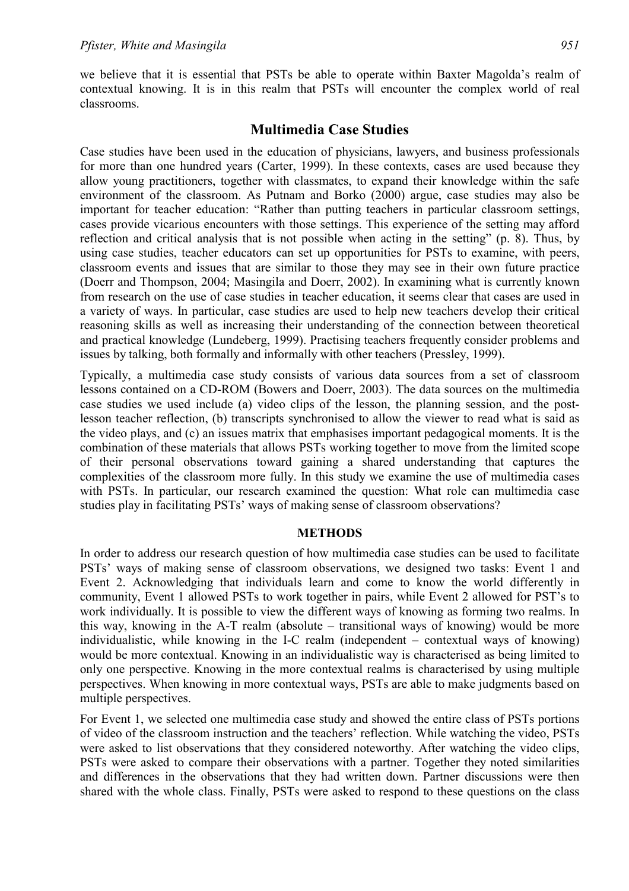we believe that it is essential that PSTs be able to operate within Baxter Magolda's realm of contextual knowing. It is in this realm that PSTs will encounter the complex world of real classrooms.

# **Multimedia Case Studies**

Case studies have been used in the education of physicians, lawyers, and business professionals for more than one hundred years (Carter, 1999). In these contexts, cases are used because they allow young practitioners, together with classmates, to expand their knowledge within the safe environment of the classroom. As Putnam and Borko (2000) argue, case studies may also be important for teacher education: "Rather than putting teachers in particular classroom settings, cases provide vicarious encounters with those settings. This experience of the setting may afford reflection and critical analysis that is not possible when acting in the setting" (p. 8). Thus, by using case studies, teacher educators can set up opportunities for PSTs to examine, with peers, classroom events and issues that are similar to those they may see in their own future practice (Doerr and Thompson, 2004; Masingila and Doerr, 2002). In examining what is currently known from research on the use of case studies in teacher education, it seems clear that cases are used in a variety of ways. In particular, case studies are used to help new teachers develop their critical reasoning skills as well as increasing their understanding of the connection between theoretical and practical knowledge (Lundeberg, 1999). Practising teachers frequently consider problems and issues by talking, both formally and informally with other teachers (Pressley, 1999).

Typically, a multimedia case study consists of various data sources from a set of classroom lessons contained on a CD-ROM (Bowers and Doerr, 2003). The data sources on the multimedia case studies we used include (a) video clips of the lesson, the planning session, and the postlesson teacher reflection, (b) transcripts synchronised to allow the viewer to read what is said as the video plays, and (c) an issues matrix that emphasises important pedagogical moments. It is the combination of these materials that allows PSTs working together to move from the limited scope of their personal observations toward gaining a shared understanding that captures the complexities of the classroom more fully. In this study we examine the use of multimedia cases with PSTs. In particular, our research examined the question: What role can multimedia case studies play in facilitating PSTs' ways of making sense of classroom observations?

### **METHODS**

In order to address our research question of how multimedia case studies can be used to facilitate PSTs' ways of making sense of classroom observations, we designed two tasks: Event 1 and Event 2. Acknowledging that individuals learn and come to know the world differently in community, Event 1 allowed PSTs to work together in pairs, while Event 2 allowed for PST's to work individually. It is possible to view the different ways of knowing as forming two realms. In this way, knowing in the A-T realm (absolute – transitional ways of knowing) would be more individualistic, while knowing in the I-C realm (independent – contextual ways of knowing) would be more contextual. Knowing in an individualistic way is characterised as being limited to only one perspective. Knowing in the more contextual realms is characterised by using multiple perspectives. When knowing in more contextual ways, PSTs are able to make judgments based on multiple perspectives.

For Event 1, we selected one multimedia case study and showed the entire class of PSTs portions of video of the classroom instruction and the teachers' reflection. While watching the video, PSTs were asked to list observations that they considered noteworthy. After watching the video clips, PSTs were asked to compare their observations with a partner. Together they noted similarities and differences in the observations that they had written down. Partner discussions were then shared with the whole class. Finally, PSTs were asked to respond to these questions on the class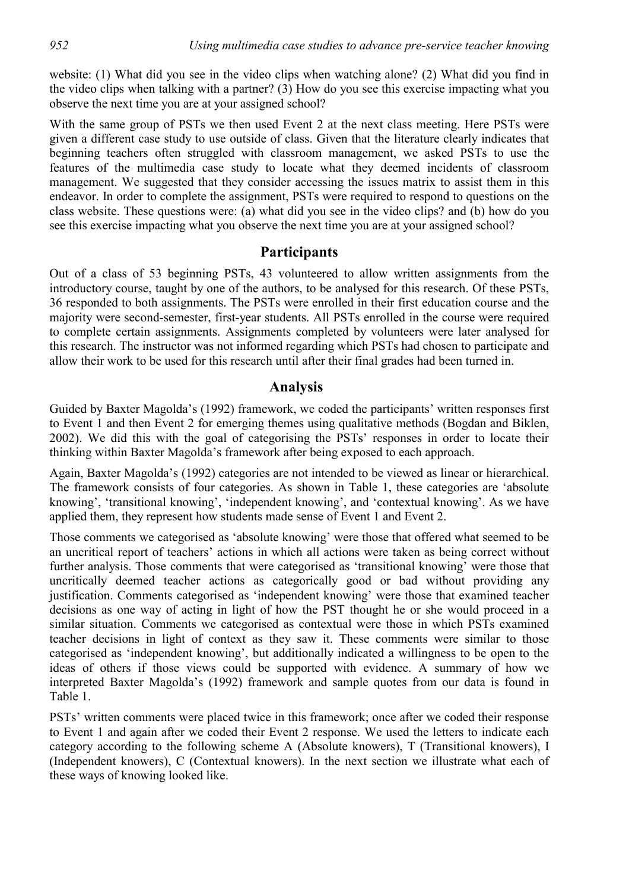website: (1) What did you see in the video clips when watching alone? (2) What did you find in the video clips when talking with a partner? (3) How do you see this exercise impacting what you observe the next time you are at your assigned school?

With the same group of PSTs we then used Event 2 at the next class meeting. Here PSTs were given a different case study to use outside of class. Given that the literature clearly indicates that beginning teachers often struggled with classroom management, we asked PSTs to use the features of the multimedia case study to locate what they deemed incidents of classroom management. We suggested that they consider accessing the issues matrix to assist them in this endeavor. In order to complete the assignment, PSTs were required to respond to questions on the class website. These questions were: (a) what did you see in the video clips? and (b) how do you see this exercise impacting what you observe the next time you are at your assigned school?

# **Participants**

Out of a class of 53 beginning PSTs, 43 volunteered to allow written assignments from the introductory course, taught by one of the authors, to be analysed for this research. Of these PSTs, 36 responded to both assignments. The PSTs were enrolled in their first education course and the majority were second-semester, first-year students. All PSTs enrolled in the course were required to complete certain assignments. Assignments completed by volunteers were later analysed for this research. The instructor was not informed regarding which PSTs had chosen to participate and allow their work to be used for this research until after their final grades had been turned in.

## **Analysis**

Guided by Baxter Magolda's (1992) framework, we coded the participants' written responses first to Event 1 and then Event 2 for emerging themes using qualitative methods (Bogdan and Biklen, 2002). We did this with the goal of categorising the PSTs' responses in order to locate their thinking within Baxter Magolda's framework after being exposed to each approach.

Again, Baxter Magolda's (1992) categories are not intended to be viewed as linear or hierarchical. The framework consists of four categories. As shown in Table 1, these categories are 'absolute knowing', 'transitional knowing', 'independent knowing', and 'contextual knowing'. As we have applied them, they represent how students made sense of Event 1 and Event 2.

Those comments we categorised as 'absolute knowing' were those that offered what seemed to be an uncritical report of teachers' actions in which all actions were taken as being correct without further analysis. Those comments that were categorised as 'transitional knowing' were those that uncritically deemed teacher actions as categorically good or bad without providing any justification. Comments categorised as 'independent knowing' were those that examined teacher decisions as one way of acting in light of how the PST thought he or she would proceed in a similar situation. Comments we categorised as contextual were those in which PSTs examined teacher decisions in light of context as they saw it. These comments were similar to those categorised as 'independent knowing', but additionally indicated a willingness to be open to the ideas of others if those views could be supported with evidence. A summary of how we interpreted Baxter Magolda's (1992) framework and sample quotes from our data is found in Table 1.

PSTs' written comments were placed twice in this framework; once after we coded their response to Event 1 and again after we coded their Event 2 response. We used the letters to indicate each category according to the following scheme A (Absolute knowers), T (Transitional knowers), I (Independent knowers), C (Contextual knowers). In the next section we illustrate what each of these ways of knowing looked like.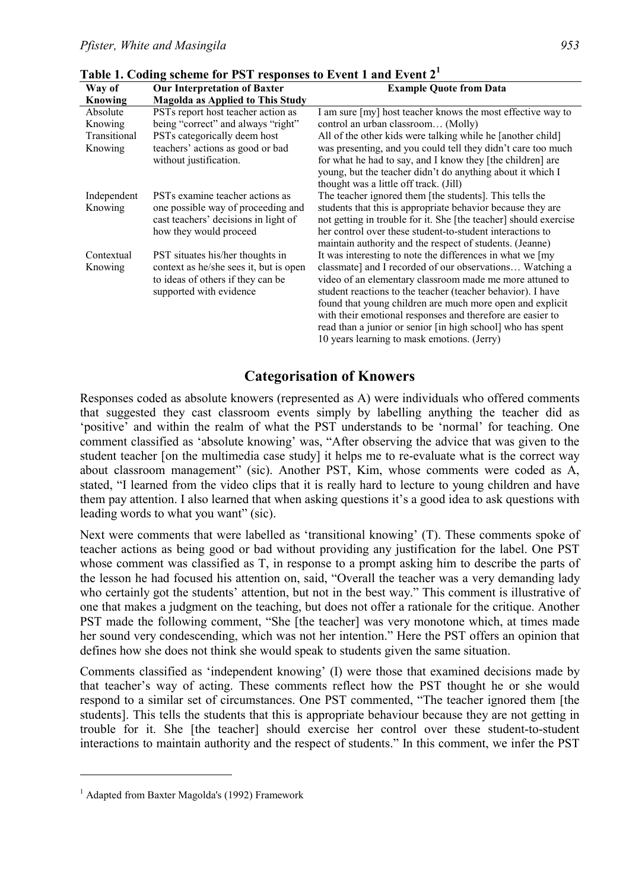| Way of       | <b>Our Interpretation of Baxter</b>         | <b>Example Quote from Data</b>                                                                             |  |  |  |  |
|--------------|---------------------------------------------|------------------------------------------------------------------------------------------------------------|--|--|--|--|
| Knowing      | <b>Magolda as Applied to This Study</b>     |                                                                                                            |  |  |  |  |
| Absolute     | PSTs report host teacher action as          | I am sure [my] host teacher knows the most effective way to                                                |  |  |  |  |
| Knowing      | being "correct" and always "right"          | control an urban classroom (Molly)                                                                         |  |  |  |  |
| Transitional | PSTs categorically deem host                | All of the other kids were talking while he [another child]                                                |  |  |  |  |
| Knowing      | teachers' actions as good or bad            | was presenting, and you could tell they didn't care too much                                               |  |  |  |  |
|              | without justification.                      | for what he had to say, and I know they [the children] are                                                 |  |  |  |  |
|              |                                             | young, but the teacher didn't do anything about it which I                                                 |  |  |  |  |
|              |                                             | thought was a little off track. (Jill)                                                                     |  |  |  |  |
| Independent  | PST <sub>s</sub> examine teacher actions as | The teacher ignored them [the students]. This tells the                                                    |  |  |  |  |
| Knowing      | one possible way of proceeding and          | students that this is appropriate behavior because they are                                                |  |  |  |  |
|              | cast teachers' decisions in light of        | not getting in trouble for it. She [the teacher] should exercise                                           |  |  |  |  |
|              | how they would proceed                      | her control over these student-to-student interactions to                                                  |  |  |  |  |
|              |                                             | maintain authority and the respect of students. (Jeanne)                                                   |  |  |  |  |
| Contextual   | PST situates his/her thoughts in            | It was interesting to note the differences in what we [my]                                                 |  |  |  |  |
| Knowing      | context as he/she sees it, but is open      | classmate] and I recorded of our observations Watching a                                                   |  |  |  |  |
|              | to ideas of others if they can be           | video of an elementary classroom made me more attuned to                                                   |  |  |  |  |
|              | supported with evidence                     | student reactions to the teacher (teacher behavior). I have                                                |  |  |  |  |
|              |                                             | found that young children are much more open and explicit                                                  |  |  |  |  |
|              |                                             | with their emotional responses and therefore are easier to                                                 |  |  |  |  |
|              |                                             | read than a junior or senior [in high school] who has spent<br>10 years learning to mask emotions. (Jerry) |  |  |  |  |
|              |                                             |                                                                                                            |  |  |  |  |

**Table 1. Coding scheme for PST responses to Event 1 and Event 2<sup>1</sup>**

# **Categorisation of Knowers**

Responses coded as absolute knowers (represented as A) were individuals who offered comments that suggested they cast classroom events simply by labelling anything the teacher did as 'positive' and within the realm of what the PST understands to be 'normal' for teaching. One comment classified as 'absolute knowing' was, "After observing the advice that was given to the student teacher [on the multimedia case study] it helps me to re-evaluate what is the correct way about classroom management" (sic). Another PST, Kim, whose comments were coded as A, stated, "I learned from the video clips that it is really hard to lecture to young children and have them pay attention. I also learned that when asking questions it's a good idea to ask questions with leading words to what you want" (sic).

Next were comments that were labelled as 'transitional knowing' (T). These comments spoke of teacher actions as being good or bad without providing any justification for the label. One PST whose comment was classified as T, in response to a prompt asking him to describe the parts of the lesson he had focused his attention on, said, "Overall the teacher was a very demanding lady who certainly got the students' attention, but not in the best way." This comment is illustrative of one that makes a judgment on the teaching, but does not offer a rationale for the critique. Another PST made the following comment, "She [the teacher] was very monotone which, at times made her sound very condescending, which was not her intention." Here the PST offers an opinion that defines how she does not think she would speak to students given the same situation.

Comments classified as 'independent knowing' (I) were those that examined decisions made by that teacher's way of acting. These comments reflect how the PST thought he or she would respond to a similar set of circumstances. One PST commented, "The teacher ignored them [the students]. This tells the students that this is appropriate behaviour because they are not getting in trouble for it. She [the teacher] should exercise her control over these student-to-student interactions to maintain authority and the respect of students." In this comment, we infer the PST

 $\overline{a}$ 

<sup>&</sup>lt;sup>1</sup> Adapted from Baxter Magolda's (1992) Framework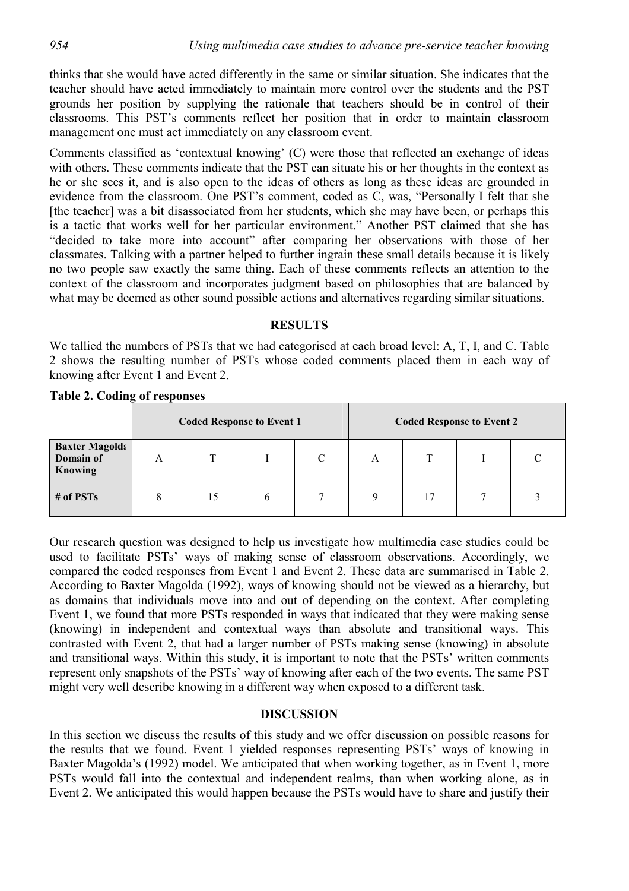thinks that she would have acted differently in the same or similar situation. She indicates that the teacher should have acted immediately to maintain more control over the students and the PST grounds her position by supplying the rationale that teachers should be in control of their classrooms. This PST's comments reflect her position that in order to maintain classroom management one must act immediately on any classroom event.

Comments classified as 'contextual knowing' (C) were those that reflected an exchange of ideas with others. These comments indicate that the PST can situate his or her thoughts in the context as he or she sees it, and is also open to the ideas of others as long as these ideas are grounded in evidence from the classroom. One PST's comment, coded as C, was, "Personally I felt that she [the teacher] was a bit disassociated from her students, which she may have been, or perhaps this is a tactic that works well for her particular environment." Another PST claimed that she has "decided to take more into account" after comparing her observations with those of her classmates. Talking with a partner helped to further ingrain these small details because it is likely no two people saw exactly the same thing. Each of these comments reflects an attention to the context of the classroom and incorporates judgment based on philosophies that are balanced by what may be deemed as other sound possible actions and alternatives regarding similar situations.

## **RESULTS**

We tallied the numbers of PSTs that we had categorised at each broad level: A, T, I, and C. Table 2 shows the resulting number of PSTs whose coded comments placed them in each way of knowing after Event 1 and Event 2.

|                                                      | <b>Coded Response to Event 1</b> |    |   |  | <b>Coded Response to Event 2</b> |    |  |  |
|------------------------------------------------------|----------------------------------|----|---|--|----------------------------------|----|--|--|
| <b>Baxter Magolda</b><br>Domain of<br><b>Knowing</b> | A                                |    |   |  | A                                |    |  |  |
| $#$ of PSTs                                          |                                  | 15 | b |  | Q                                | 17 |  |  |

**Table 2. Coding of responses** 

Our research question was designed to help us investigate how multimedia case studies could be used to facilitate PSTs' ways of making sense of classroom observations. Accordingly, we compared the coded responses from Event 1 and Event 2. These data are summarised in Table 2. According to Baxter Magolda (1992), ways of knowing should not be viewed as a hierarchy, but as domains that individuals move into and out of depending on the context. After completing Event 1, we found that more PSTs responded in ways that indicated that they were making sense (knowing) in independent and contextual ways than absolute and transitional ways. This contrasted with Event 2, that had a larger number of PSTs making sense (knowing) in absolute and transitional ways. Within this study, it is important to note that the PSTs' written comments represent only snapshots of the PSTs' way of knowing after each of the two events. The same PST might very well describe knowing in a different way when exposed to a different task.

### **DISCUSSION**

In this section we discuss the results of this study and we offer discussion on possible reasons for the results that we found. Event 1 yielded responses representing PSTs' ways of knowing in Baxter Magolda's (1992) model. We anticipated that when working together, as in Event 1, more PSTs would fall into the contextual and independent realms, than when working alone, as in Event 2. We anticipated this would happen because the PSTs would have to share and justify their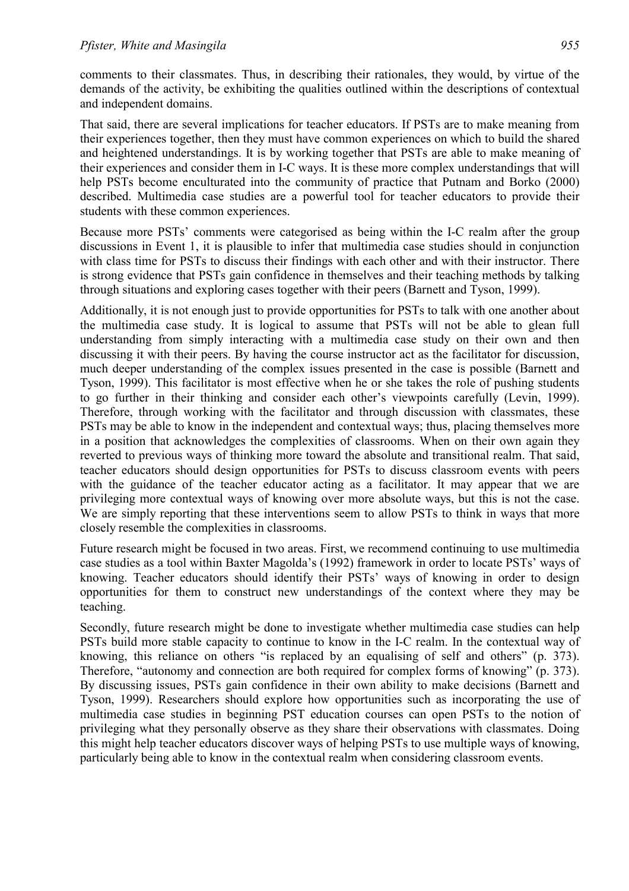comments to their classmates. Thus, in describing their rationales, they would, by virtue of the demands of the activity, be exhibiting the qualities outlined within the descriptions of contextual and independent domains.

That said, there are several implications for teacher educators. If PSTs are to make meaning from their experiences together, then they must have common experiences on which to build the shared and heightened understandings. It is by working together that PSTs are able to make meaning of their experiences and consider them in I-C ways. It is these more complex understandings that will help PSTs become enculturated into the community of practice that Putnam and Borko (2000) described. Multimedia case studies are a powerful tool for teacher educators to provide their students with these common experiences.

Because more PSTs' comments were categorised as being within the I-C realm after the group discussions in Event 1, it is plausible to infer that multimedia case studies should in conjunction with class time for PSTs to discuss their findings with each other and with their instructor. There is strong evidence that PSTs gain confidence in themselves and their teaching methods by talking through situations and exploring cases together with their peers (Barnett and Tyson, 1999).

Additionally, it is not enough just to provide opportunities for PSTs to talk with one another about the multimedia case study. It is logical to assume that PSTs will not be able to glean full understanding from simply interacting with a multimedia case study on their own and then discussing it with their peers. By having the course instructor act as the facilitator for discussion, much deeper understanding of the complex issues presented in the case is possible (Barnett and Tyson, 1999). This facilitator is most effective when he or she takes the role of pushing students to go further in their thinking and consider each other's viewpoints carefully (Levin, 1999). Therefore, through working with the facilitator and through discussion with classmates, these PSTs may be able to know in the independent and contextual ways; thus, placing themselves more in a position that acknowledges the complexities of classrooms. When on their own again they reverted to previous ways of thinking more toward the absolute and transitional realm. That said, teacher educators should design opportunities for PSTs to discuss classroom events with peers with the guidance of the teacher educator acting as a facilitator. It may appear that we are privileging more contextual ways of knowing over more absolute ways, but this is not the case. We are simply reporting that these interventions seem to allow PSTs to think in ways that more closely resemble the complexities in classrooms.

Future research might be focused in two areas. First, we recommend continuing to use multimedia case studies as a tool within Baxter Magolda's (1992) framework in order to locate PSTs' ways of knowing. Teacher educators should identify their PSTs' ways of knowing in order to design opportunities for them to construct new understandings of the context where they may be teaching.

Secondly, future research might be done to investigate whether multimedia case studies can help PSTs build more stable capacity to continue to know in the I-C realm. In the contextual way of knowing, this reliance on others "is replaced by an equalising of self and others" (p. 373). Therefore, "autonomy and connection are both required for complex forms of knowing" (p. 373). By discussing issues, PSTs gain confidence in their own ability to make decisions (Barnett and Tyson, 1999). Researchers should explore how opportunities such as incorporating the use of multimedia case studies in beginning PST education courses can open PSTs to the notion of privileging what they personally observe as they share their observations with classmates. Doing this might help teacher educators discover ways of helping PSTs to use multiple ways of knowing, particularly being able to know in the contextual realm when considering classroom events.